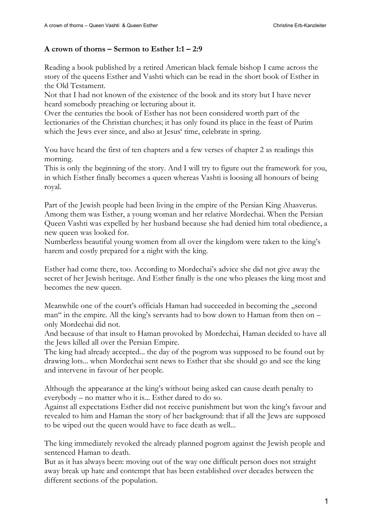## **A crown of thorns – Sermon to Esther 1:1 – 2:9**

Reading a book published by a retired American black female bishop I came across the story of the queens Esther and Vashti which can be read in the short book of Esther in the Old Testament.

Not that I had not known of the existence of the book and its story but I have never heard somebody preaching or lecturing about it.

Over the centuries the book of Esther has not been considered worth part of the lectionaries of the Christian churches; it has only found its place in the feast of Purim which the Jews ever since, and also at Jesus' time, celebrate in spring.

You have heard the first of ten chapters and a few verses of chapter 2 as readings this morning.

This is only the beginning of the story. And I will try to figure out the framework for you, in which Esther finally becomes a queen whereas Vashti is loosing all honours of being royal.

Part of the Jewish people had been living in the empire of the Persian King Ahasverus. Among them was Esther, a young woman and her relative Mordechai. When the Persian Queen Vashti was expelled by her husband because she had denied him total obedience, a new queen was looked for.

Numberless beautiful young women from all over the kingdom were taken to the king's harem and costly prepared for a night with the king.

Esther had come there, too. According to Mordechai's advice she did not give away the secret of her Jewish heritage. And Esther finally is the one who pleases the king most and becomes the new queen.

Meanwhile one of the court's officials Haman had succeeded in becoming the "second man" in the empire. All the king's servants had to bow down to Haman from then on – only Mordechai did not.

And because of that insult to Haman provoked by Mordechai, Haman decided to have all the Jews killed all over the Persian Empire.

The king had already accepted... the day of the pogrom was supposed to be found out by drawing lots... when Mordechai sent news to Esther that she should go and see the king and intervene in favour of her people.

Although the appearance at the king's without being asked can cause death penalty to everybody – no matter who it is... Esther dared to do so.

Against all expectations Esther did not receive punishment but won the king's favour and revealed to him and Haman the story of her background: that if all the Jews are supposed to be wiped out the queen would have to face death as well...

The king immediately revoked the already planned pogrom against the Jewish people and sentenced Haman to death.

But as it has always been: moving out of the way one difficult person does not straight away break up hate and contempt that has been established over decades between the different sections of the population.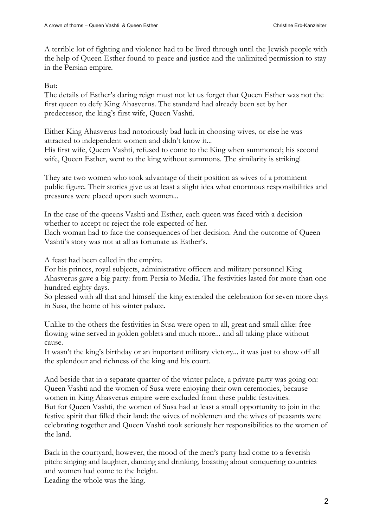A terrible lot of fighting and violence had to be lived through until the Jewish people with the help of Queen Esther found to peace and justice and the unlimited permission to stay in the Persian empire.

But:

The details of Esther's daring reign must not let us forget that Queen Esther was not the first queen to defy King Ahasverus. The standard had already been set by her predecessor, the king's first wife, Queen Vashti.

Either King Ahasverus had notoriously bad luck in choosing wives, or else he was attracted to independent women and didn't know it...

His first wife, Queen Vashti, refused to come to the King when summoned; his second wife, Queen Esther, went to the king without summons. The similarity is striking!

They are two women who took advantage of their position as wives of a prominent public figure. Their stories give us at least a slight idea what enormous responsibilities and pressures were placed upon such women...

In the case of the queens Vashti and Esther, each queen was faced with a decision whether to accept or reject the role expected of her.

Each woman had to face the consequences of her decision. And the outcome of Queen Vashti's story was not at all as fortunate as Esther's.

A feast had been called in the empire.

For his princes, royal subjects, administrative officers and military personnel King Ahasverus gave a big party: from Persia to Media. The festivities lasted for more than one hundred eighty days.

So pleased with all that and himself the king extended the celebration for seven more days in Susa, the home of his winter palace.

Unlike to the others the festivities in Susa were open to all, great and small alike: free flowing wine served in golden goblets and much more... and all taking place without cause.

It wasn't the king's birthday or an important military victory... it was just to show off all the splendour and richness of the king and his court.

And beside that in a separate quarter of the winter palace, a private party was going on: Queen Vashti and the women of Susa were enjoying their own ceremonies, because women in King Ahasverus empire were excluded from these public festivities. But for Queen Vashti, the women of Susa had at least a small opportunity to join in the festive spirit that filled their land: the wives of noblemen and the wives of peasants were celebrating together and Queen Vashti took seriously her responsibilities to the women of the land.

Back in the courtyard, however, the mood of the men's party had come to a feverish pitch: singing and laughter, dancing and drinking, boasting about conquering countries and women had come to the height.

Leading the whole was the king.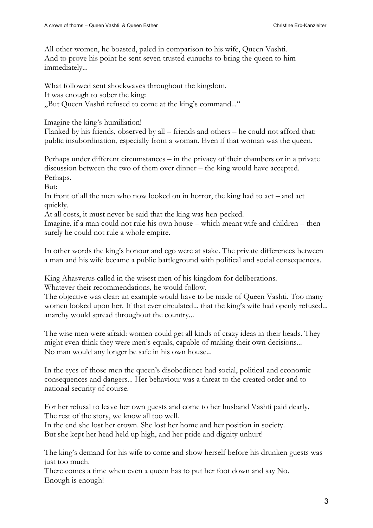All other women, he boasted, paled in comparison to his wife, Queen Vashti. And to prove his point he sent seven trusted eunuchs to bring the queen to him immediately...

What followed sent shockwaves throughout the kingdom. It was enough to sober the king: "But Queen Vashti refused to come at the king's command..."

Imagine the king's humiliation!

Flanked by his friends, observed by all – friends and others – he could not afford that: public insubordination, especially from a woman. Even if that woman was the queen.

Perhaps under different circumstances – in the privacy of their chambers or in a private discussion between the two of them over dinner – the king would have accepted. Perhaps.

But:

In front of all the men who now looked on in horror, the king had to act – and act quickly.

At all costs, it must never be said that the king was hen-pecked.

Imagine, if a man could not rule his own house – which meant wife and children – then surely he could not rule a whole empire.

In other words the king's honour and ego were at stake. The private differences between a man and his wife became a public battleground with political and social consequences.

King Ahasverus called in the wisest men of his kingdom for deliberations.

Whatever their recommendations, he would follow.

The objective was clear: an example would have to be made of Queen Vashti. Too many women looked upon her. If that ever circulated... that the king's wife had openly refused... anarchy would spread throughout the country...

The wise men were afraid: women could get all kinds of crazy ideas in their heads. They might even think they were men's equals, capable of making their own decisions... No man would any longer be safe in his own house...

In the eyes of those men the queen's disobedience had social, political and economic consequences and dangers... Her behaviour was a threat to the created order and to national security of course.

For her refusal to leave her own guests and come to her husband Vashti paid dearly. The rest of the story, we know all too well.

In the end she lost her crown. She lost her home and her position in society. But she kept her head held up high, and her pride and dignity unhurt!

The king's demand for his wife to come and show herself before his drunken guests was just too much.

There comes a time when even a queen has to put her foot down and say No. Enough is enough!